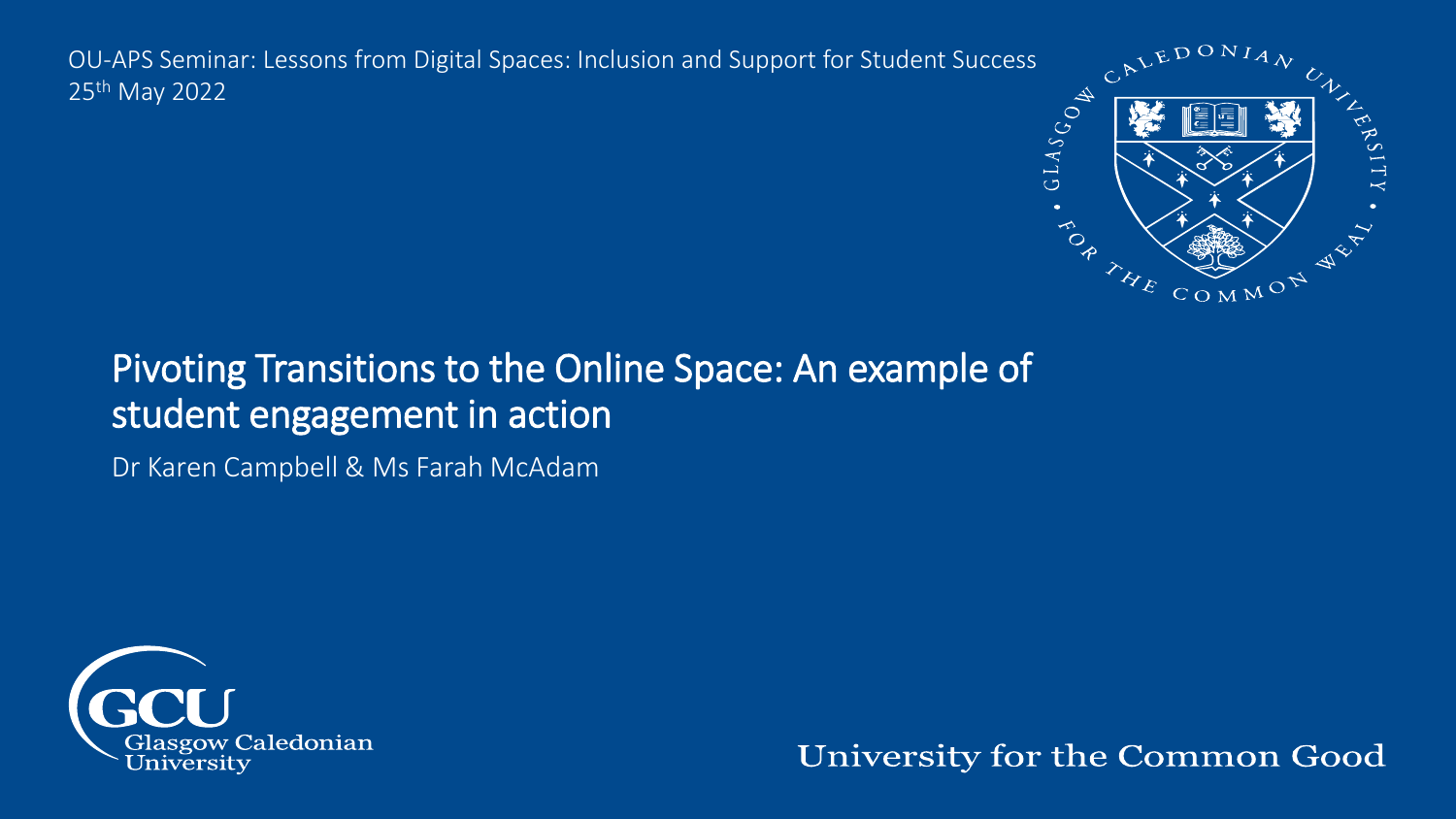OU-APS Seminar: Lessons from Digital Spaces: Inclusion and Support for Student Success<br>25<sup>th</sup> May 2022<br>25th May 2022<br>25th May 2022 25th May 2022



#### Pivoting Transitions to the Online Space: An example of student engagement in action

Dr Karen Campbell & Ms Farah McAdam



University for the Common Good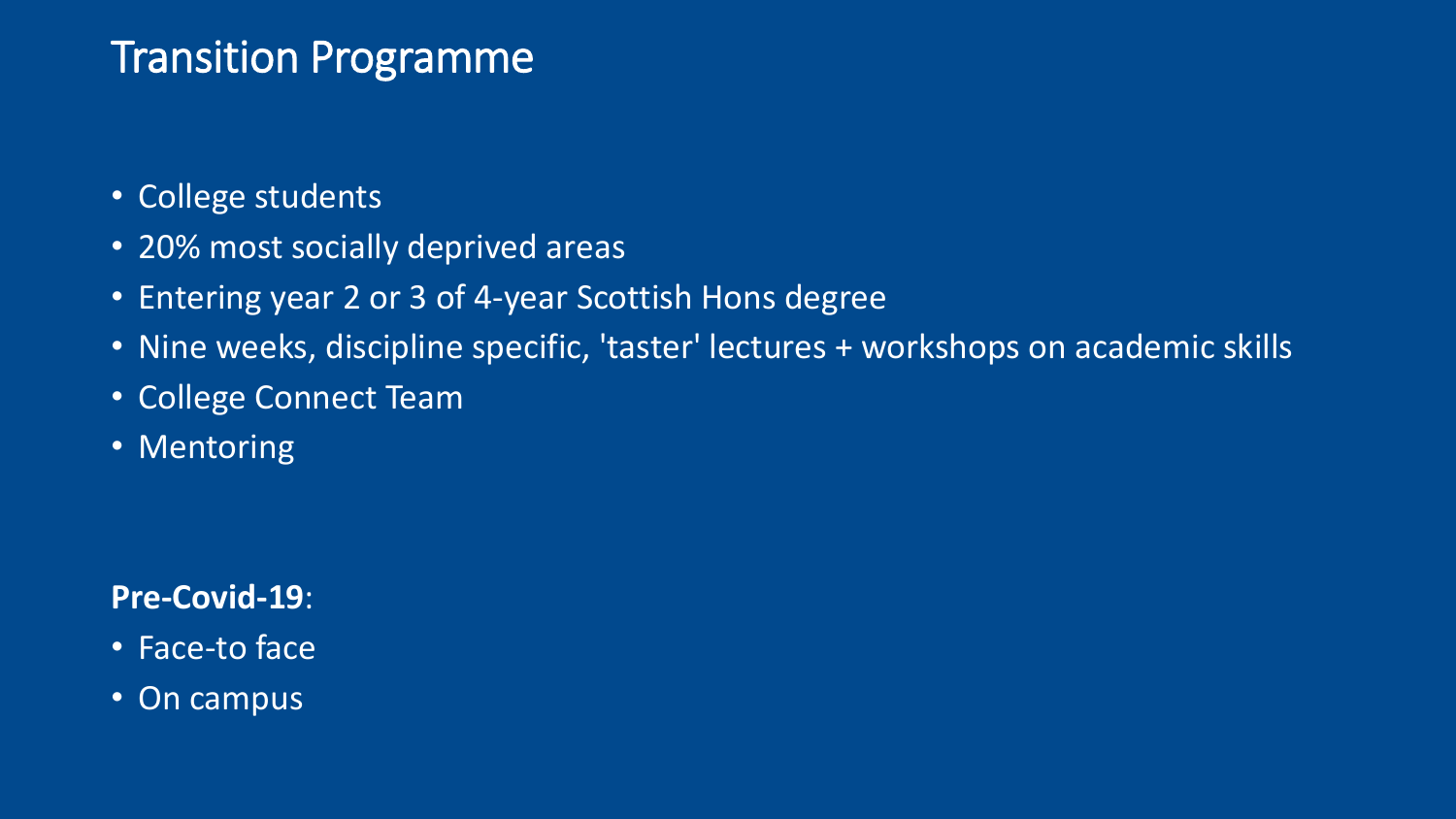## Transition Programme

- College students
- 20% most socially deprived areas
- Entering year 2 or 3 of 4-year Scottish Hons degree
- Nine weeks, discipline specific, 'taster' lectures + workshops on academic skills
- College Connect Team
- Mentoring

#### **Pre-Covid-19**:

- Face-to face
- On campus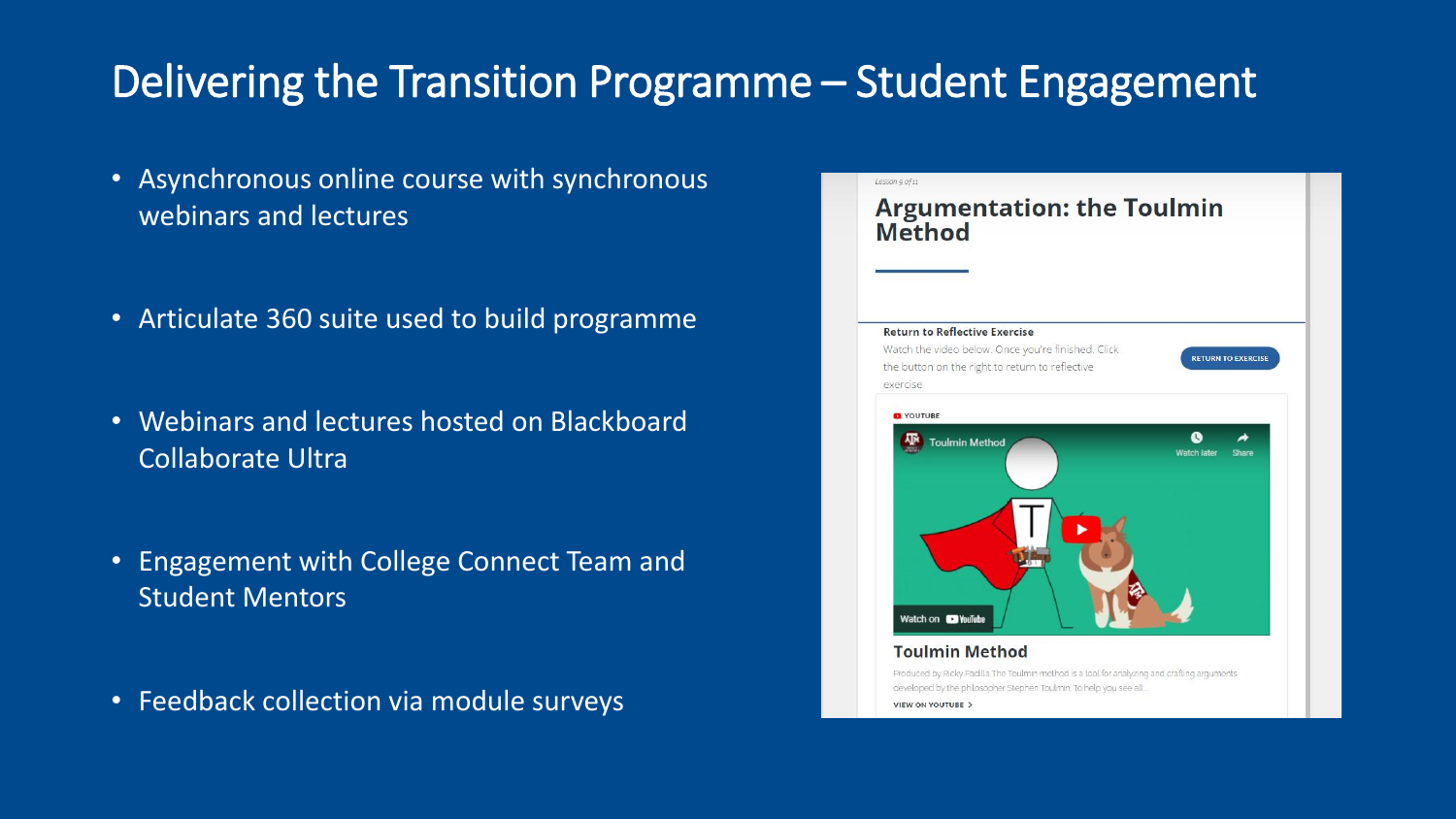# Delivering the Transition Programme – Student Engagement

- Asynchronous online course with synchronous webinars and lectures
- Articulate 360 suite used to build programme
- Webinars and lectures hosted on Blackboard Collaborate Ultra
- Engagement with College Connect Team and Student Mentors
- Feedback collection via module surveys

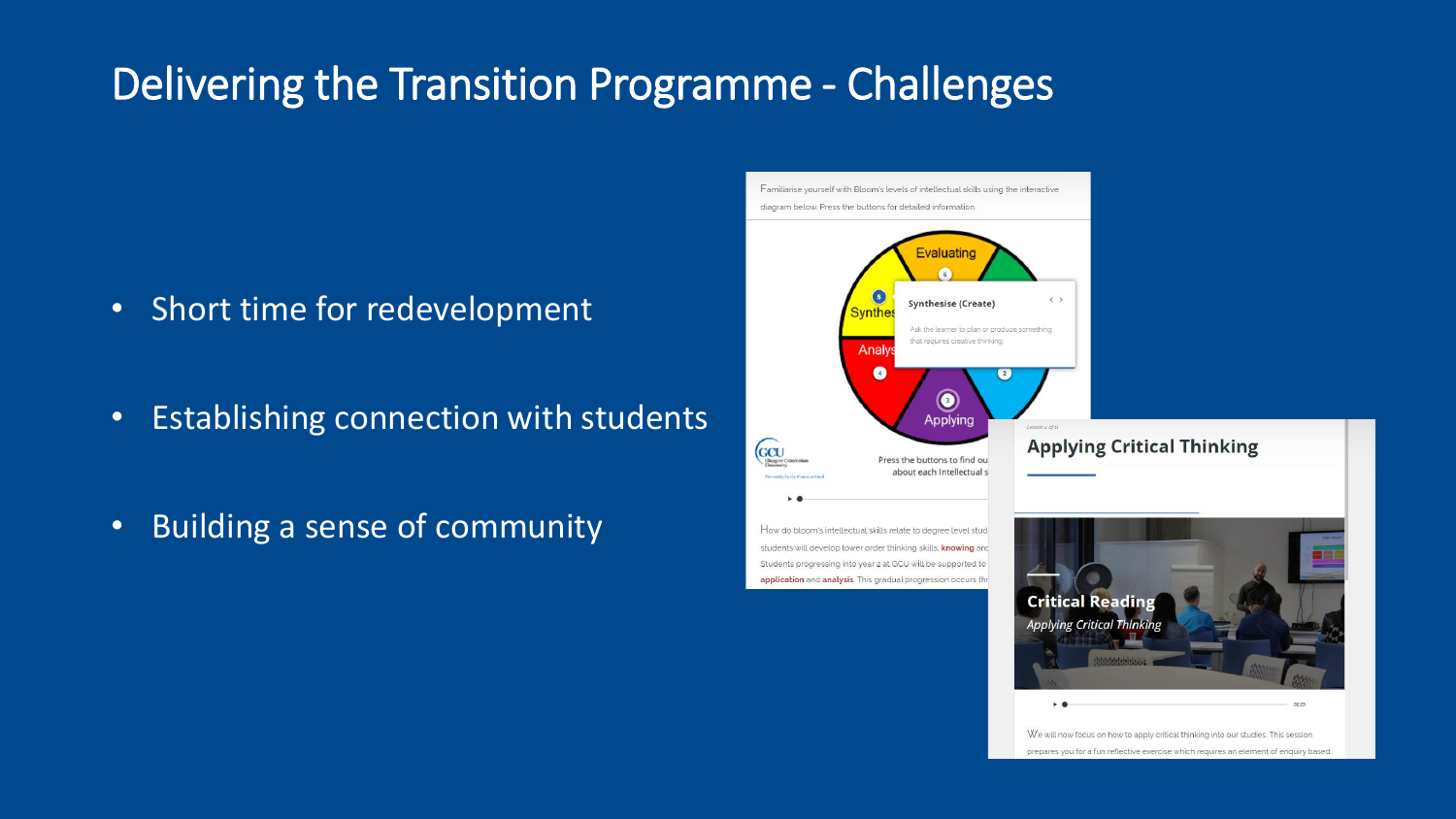# Delivering the Transition Programme - Challenges

 $rac{1}{\sqrt{2}}$ 

- Short time for redevelopment
- Establishing connection with students
- Building a sense of community

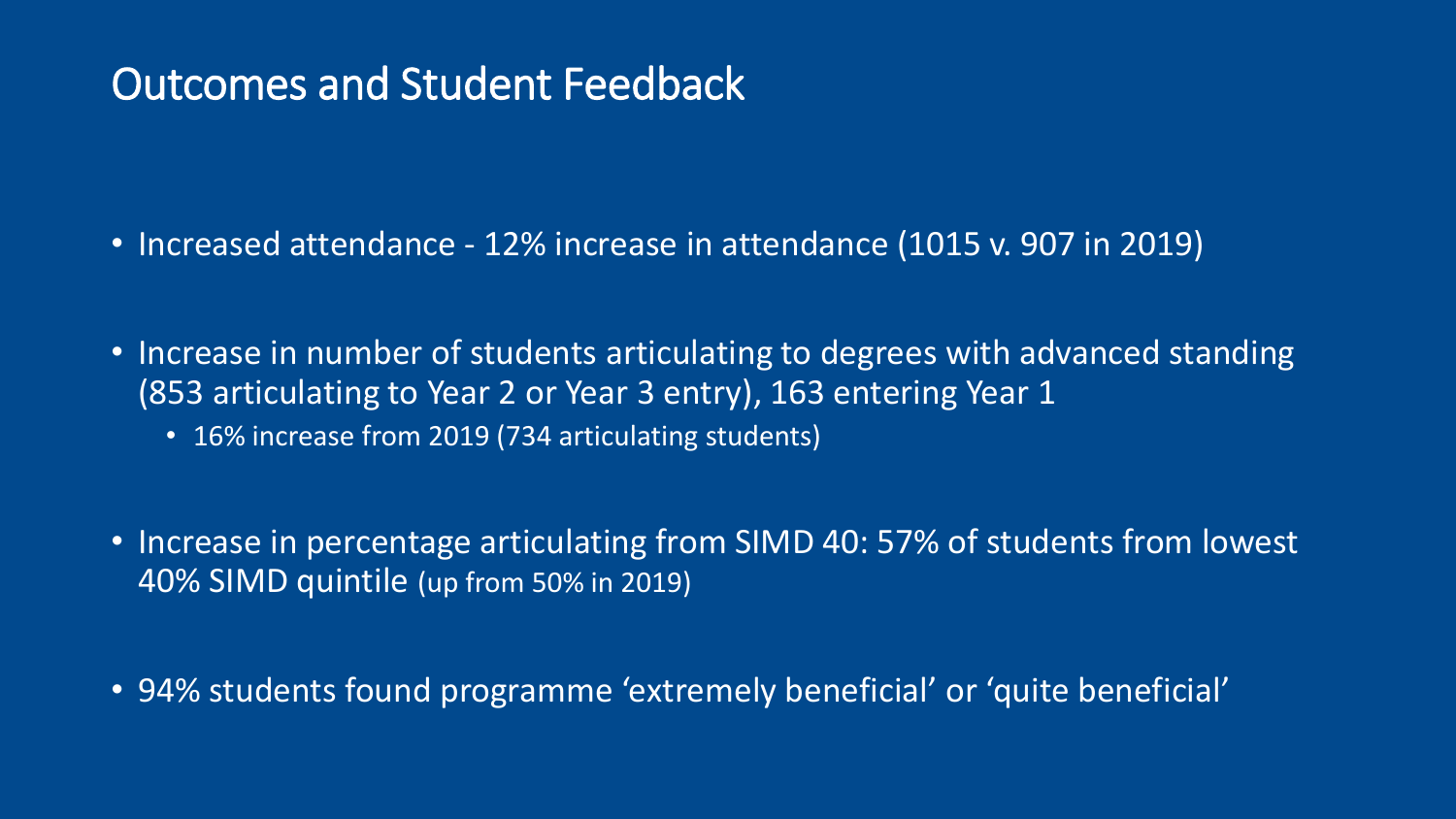### Outcomes and Student Feedback

- Increased attendance 12% increase in attendance (1015 v. 907 in 2019)
- Increase in number of students articulating to degrees with advanced standing (853 articulating to Year 2 or Year 3 entry), 163 entering Year 1
	- 16% increase from 2019 (734 articulating students)
- Increase in percentage articulating from SIMD 40: 57% of students from lowest 40% SIMD quintile (up from 50% in 2019)
- 94% students found programme 'extremely beneficial' or 'quite beneficial'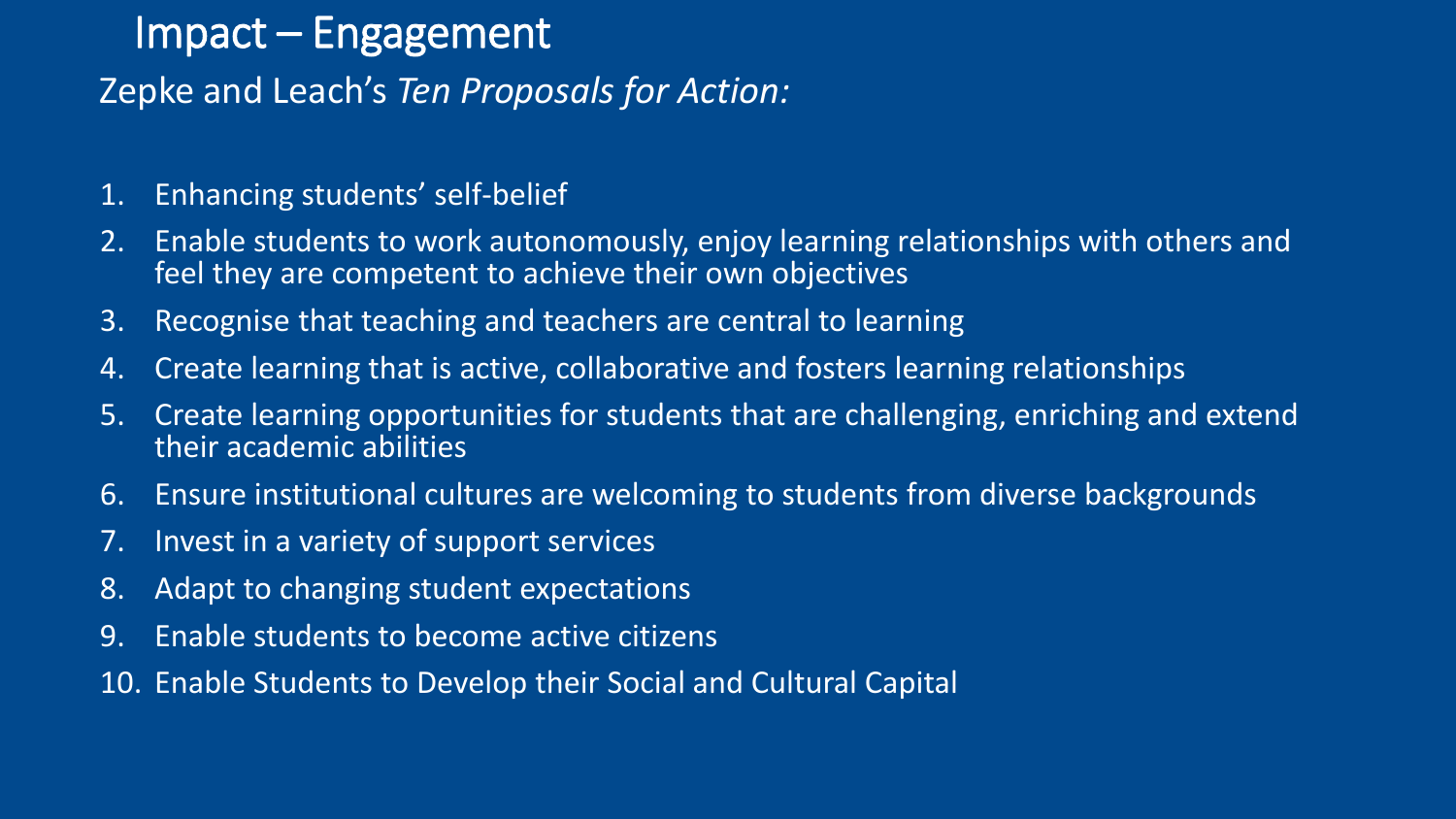### Impact – Engagement

#### Zepke and Leach's *Ten Proposals for Action:*

- 1. Enhancing students' self-belief
- 2. Enable students to work autonomously, enjoy learning relationships with others and feel they are competent to achieve their own objectives
- 3. Recognise that teaching and teachers are central to learning
- 4. Create learning that is active, collaborative and fosters learning relationships
- 5. Create learning opportunities for students that are challenging, enriching and extend their academic abilities
- 6. Ensure institutional cultures are welcoming to students from diverse backgrounds
- 7. Invest in a variety of support services
- 8. Adapt to changing student expectations
- 9. Enable students to become active citizens
- 10. Enable Students to Develop their Social and Cultural Capital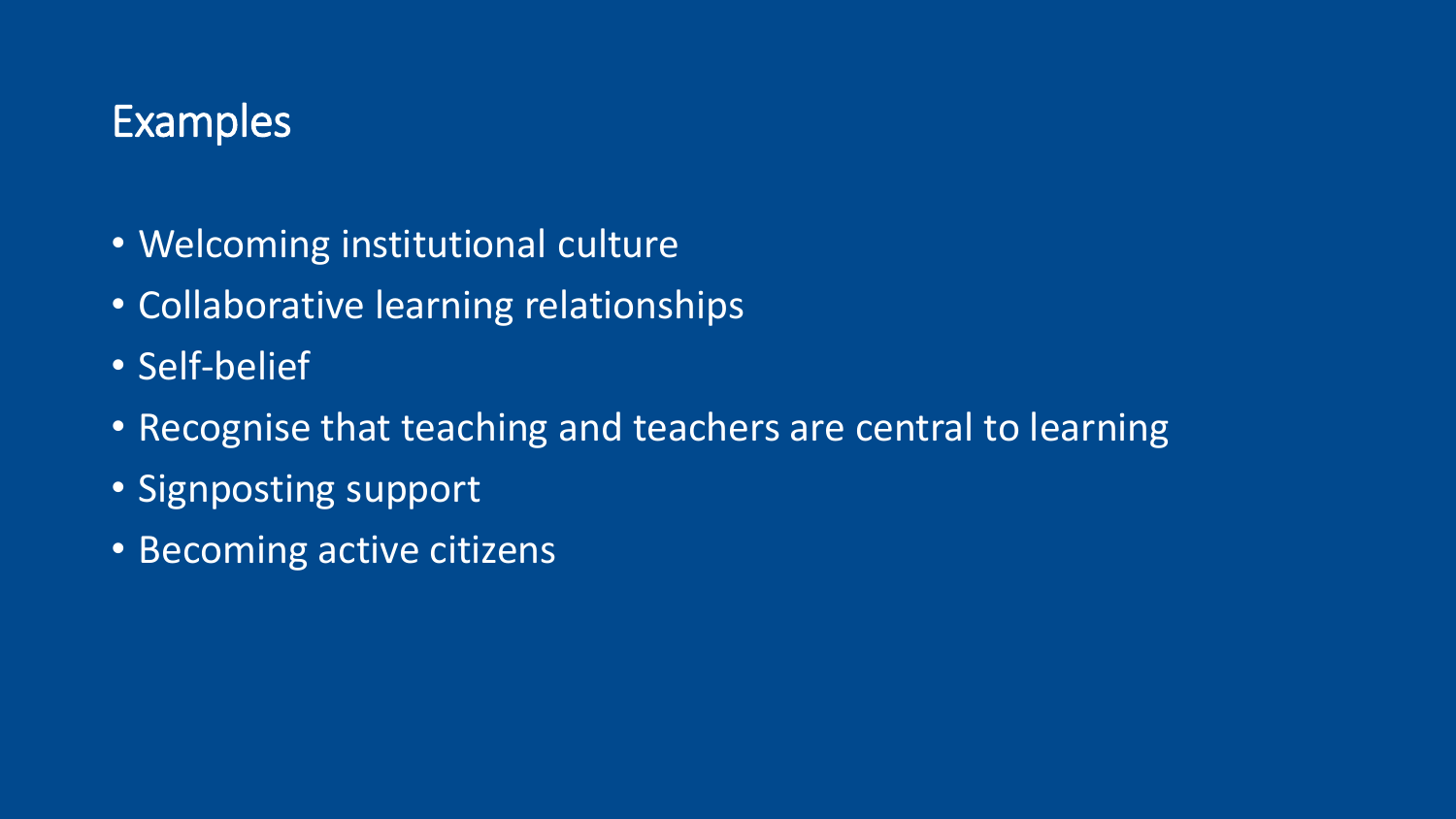### Examples

- Welcoming institutional culture
- Collaborative learning relationships
- Self-belief
- Recognise that teaching and teachers are central to learning
- Signposting support
- Becoming active citizens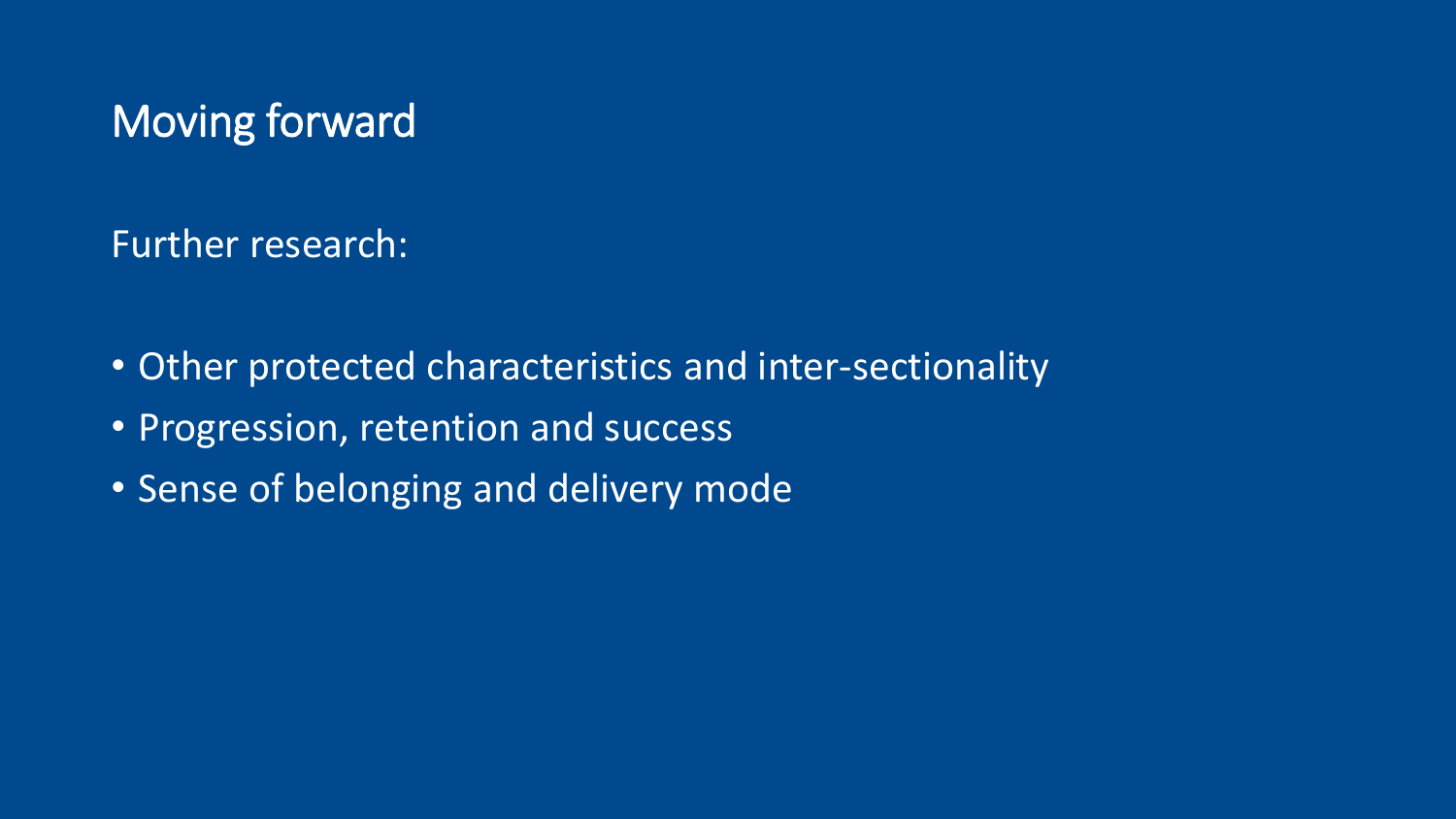## Moving forward

Further research:

- Other protected characteristics and inter-sectionality
- Progression, retention and success
- Sense of belonging and delivery mode